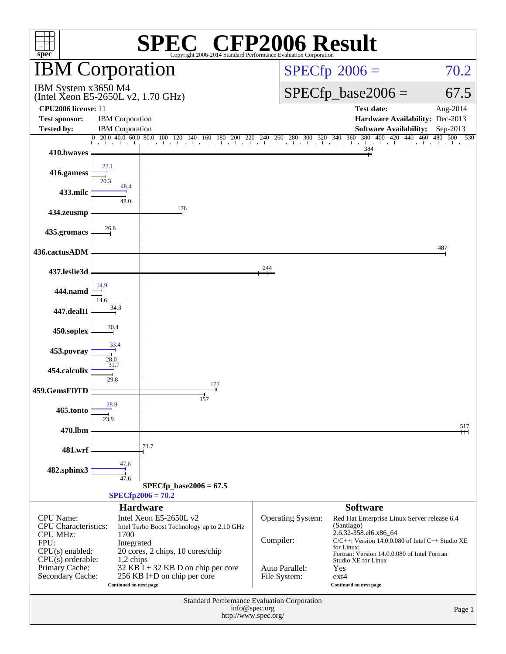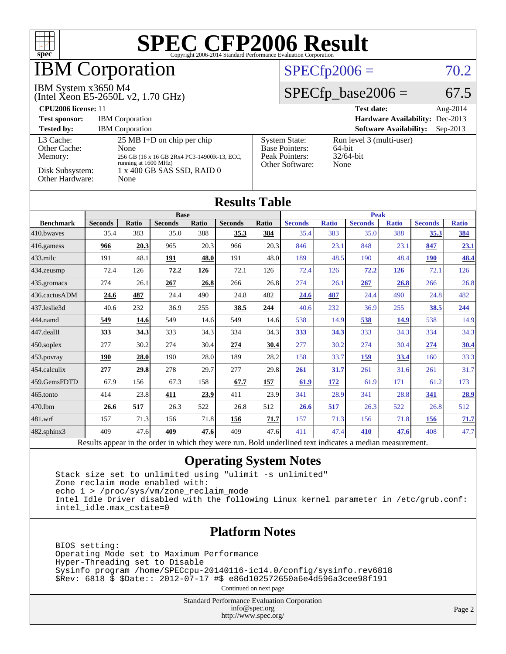

## **BM Corporation**

#### IBM System x3650 M4

(Intel Xeon E5-2650L v2, 1.70 GHz)

#### $SPECfp2006 = 70.2$  $SPECfp2006 = 70.2$

### $SPECTp\_base2006 = 67.5$

| CPU <sub>2006</sub> license: 11                                            |                                                                                                                                                                  |                                                                                    | <b>Test date:</b><br>Aug- $2014$                              |
|----------------------------------------------------------------------------|------------------------------------------------------------------------------------------------------------------------------------------------------------------|------------------------------------------------------------------------------------|---------------------------------------------------------------|
| <b>Test sponsor:</b>                                                       | <b>IBM</b> Corporation                                                                                                                                           |                                                                                    | <b>Hardware Availability:</b> Dec-2013                        |
| <b>Tested by:</b>                                                          | <b>IBM</b> Corporation                                                                                                                                           |                                                                                    | <b>Software Availability:</b><br>$Sep-2013$                   |
| L3 Cache:<br>Other Cache:<br>Memory:<br>Disk Subsystem:<br>Other Hardware: | $25 \text{ MB I+D}$ on chip per chip<br><b>None</b><br>256 GB (16 x 16 GB 2Rx4 PC3-14900R-13, ECC,<br>running at 1600 MHz)<br>1 x 400 GB SAS SSD, RAID 0<br>None | <b>System State:</b><br><b>Base Pointers:</b><br>Peak Pointers:<br>Other Software: | Run level 3 (multi-user)<br>$64$ -bit<br>$32/64$ -bit<br>None |

|                  |                                        |              |                |                                     | <b>Results Table</b> |                          |                |              |                        |              |                |              |
|------------------|----------------------------------------|--------------|----------------|-------------------------------------|----------------------|--------------------------|----------------|--------------|------------------------|--------------|----------------|--------------|
|                  | <b>Base</b>                            |              |                |                                     |                      |                          | <b>Peak</b>    |              |                        |              |                |              |
| <b>Benchmark</b> | <b>Seconds</b>                         | <b>Ratio</b> | <b>Seconds</b> | Ratio                               | <b>Seconds</b>       | Ratio                    | <b>Seconds</b> | <b>Ratio</b> | <b>Seconds</b>         | <b>Ratio</b> | <b>Seconds</b> | <b>Ratio</b> |
| 410.bwayes       | 35.4                                   | 383          | 35.0           | 388                                 | 35.3                 | 384                      | 35.4           | 383          | 35.0                   | 388          | 35.3           | <u>384</u>   |
| $416$ .gamess    | 966                                    | 20.3         | 965            | 20.3                                | 966                  | 20.3                     | 846            | 23.1         | 848                    | 23.1         | 847            | <u>23.1</u>  |
| $433$ .milc      | 191                                    | 48.1         | 191            | 48.0                                | 191                  | 48.0                     | 189            | 48.5         | 190                    | 48.4         | <b>190</b>     | 48.4         |
| 434.zeusmp       | 72.4                                   | 126          | 72.2           | 126                                 | 72.1                 | 126                      | 72.4           | 126          | 72.2                   | <u>126</u>   | 72.1           | 126          |
| 435.gromacs      | 274                                    | 26.1         | 267            | 26.8                                | 266                  | 26.8                     | 274            | 26.1         | 267                    | 26.8         | 266            | 26.8         |
| 436.cactusADM    | 24.6                                   | 487          | 24.4           | 490                                 | 24.8                 | 482                      | 24.6           | 487          | 24.4                   | 490          | 24.8           | 482          |
| 437.leslie3d     | 40.6                                   | 232          | 36.9           | 255                                 | 38.5                 | 244                      | 40.6           | 232          | 36.9                   | 255          | 38.5           | 244          |
| 444.namd         | 549                                    | 14.6         | 549            | 14.6                                | 549                  | 14.6                     | 538            | 14.9         | 538                    | 14.9         | 538            | 14.9         |
| 447.dealII       | 333                                    | 34.3         | 333            | 34.3                                | 334                  | 34.3                     | 333            | 34.3         | 333                    | 34.3         | 334            | 34.3         |
| $450$ .soplex    | 277                                    | 30.2         | 274            | 30.4                                | 274                  | 30.4                     | 277            | 30.2         | 274                    | 30.4         | 274            | <u>30.4</u>  |
| 453.povray       | 190                                    | 28.0         | 190            | 28.0                                | 189                  | 28.2                     | 158            | 33.7         | 159                    | 33.4         | 160            | 33.3         |
| 454.calculix     | 277                                    | 29.8         | 278            | 29.7                                | 277                  | 29.8                     | 261            | 31.7         | 261                    | 31.6         | 261            | 31.7         |
| 459.GemsFDTD     | 67.9                                   | 156          | 67.3           | 158                                 | 67.7                 | 157                      | 61.9           | <u>172</u>   | 61.9                   | 171          | 61.2           | 173          |
| $465$ .tonto     | 414                                    | 23.8         | 411            | 23.9                                | 411                  | 23.9                     | 341            | 28.9         | 341                    | 28.8         | <u>341</u>     | 28.9         |
| 470.1bm          | 26.6                                   | 517          | 26.3           | 522                                 | 26.8                 | 512                      | 26.6           | 517          | 26.3                   | 522          | 26.8           | 512          |
| 481.wrf          | 157                                    | 71.3         | 156            | 71.8                                | 156                  | 71.7                     | 157            | 71.3         | 156                    | 71.8         | <b>156</b>     | 71.7         |
| 482.sphinx3      | 409                                    | 47.6         | 409            | 47.6                                | 409                  | 47.6                     | 411            | 47.4         | 410                    | 47.6         | 408            | 47.7         |
|                  | $\mathbf{D}$ $\mathbf{D}$ $\mathbf{D}$ | 1.11.1       | $\sim 1$ .     | $2.32 \pm 1.32$ and $1.32 \pm 1.32$ |                      | $\mathbf{D}$ $\cdot$ 1.1 |                |              | $\mathbf{1}^{\bullet}$ |              |                |              |

#### Results appear in the [order in which they were run.](http://www.spec.org/auto/cpu2006/Docs/result-fields.html#RunOrder) Bold underlined text [indicates a median measurement.](http://www.spec.org/auto/cpu2006/Docs/result-fields.html#Median)

#### **[Operating System Notes](http://www.spec.org/auto/cpu2006/Docs/result-fields.html#OperatingSystemNotes)**

 Stack size set to unlimited using "ulimit -s unlimited" Zone reclaim mode enabled with: echo 1 > /proc/sys/vm/zone\_reclaim\_mode Intel Idle Driver disabled with the following Linux kernel parameter in /etc/grub.conf: intel\_idle.max\_cstate=0

#### **[Platform Notes](http://www.spec.org/auto/cpu2006/Docs/result-fields.html#PlatformNotes)**

 BIOS setting: Operating Mode set to Maximum Performance Hyper-Threading set to Disable Sysinfo program /home/SPECcpu-20140116-ic14.0/config/sysinfo.rev6818 \$Rev: 6818 \$ \$Date:: 2012-07-17 #\$ e86d102572650a6e4d596a3cee98f191

Continued on next page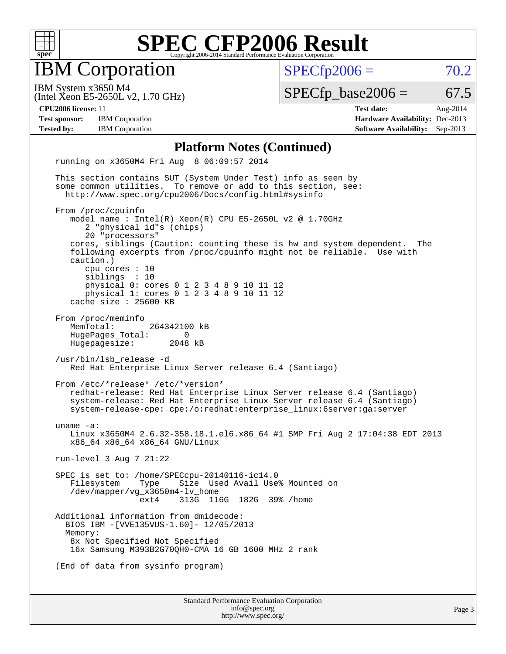

IBM Corporation

 $SPECTp2006 = 70.2$ 

(Intel Xeon E5-2650L v2, 1.70 GHz) IBM System x3650 M4

 $SPECTp\_base2006 = 67.5$ 

**[Test sponsor:](http://www.spec.org/auto/cpu2006/Docs/result-fields.html#Testsponsor)** IBM Corporation **[Hardware Availability:](http://www.spec.org/auto/cpu2006/Docs/result-fields.html#HardwareAvailability)** Dec-2013

**[CPU2006 license:](http://www.spec.org/auto/cpu2006/Docs/result-fields.html#CPU2006license)** 11 **[Test date:](http://www.spec.org/auto/cpu2006/Docs/result-fields.html#Testdate)** Aug-2014 **[Tested by:](http://www.spec.org/auto/cpu2006/Docs/result-fields.html#Testedby)** IBM Corporation **[Software Availability:](http://www.spec.org/auto/cpu2006/Docs/result-fields.html#SoftwareAvailability)** Sep-2013

#### **[Platform Notes \(Continued\)](http://www.spec.org/auto/cpu2006/Docs/result-fields.html#PlatformNotes)**

 running on x3650M4 Fri Aug 8 06:09:57 2014 This section contains SUT (System Under Test) info as seen by some common utilities. To remove or add to this section, see: <http://www.spec.org/cpu2006/Docs/config.html#sysinfo> From /proc/cpuinfo model name : Intel(R) Xeon(R) CPU E5-2650L v2 @ 1.70GHz 2 "physical id"s (chips) 20 "processors" cores, siblings (Caution: counting these is hw and system dependent. The following excerpts from /proc/cpuinfo might not be reliable. Use with caution.) cpu cores : 10 siblings : 10 physical 0: cores 0 1 2 3 4 8 9 10 11 12 physical 1: cores 0 1 2 3 4 8 9 10 11 12 cache size : 25600 KB From /proc/meminfo MemTotal: 264342100 kB HugePages\_Total: 0<br>Hugepagesize: 2048 kB Hugepagesize: /usr/bin/lsb\_release -d Red Hat Enterprise Linux Server release 6.4 (Santiago) From /etc/\*release\* /etc/\*version\* redhat-release: Red Hat Enterprise Linux Server release 6.4 (Santiago) system-release: Red Hat Enterprise Linux Server release 6.4 (Santiago) system-release-cpe: cpe:/o:redhat:enterprise\_linux:6server:ga:server uname -a: Linux x3650M4 2.6.32-358.18.1.el6.x86\_64 #1 SMP Fri Aug 2 17:04:38 EDT 2013 x86\_64 x86\_64 x86\_64 GNU/Linux run-level 3 Aug 7 21:22 SPEC is set to: /home/SPECcpu-20140116-ic14.0 Filesystem Type Size Used Avail Use% Mounted on /dev/mapper/vg\_x3650m4-lv\_home ext4 313G 116G 182G 39% /home Additional information from dmidecode: BIOS IBM -[VVE135VUS-1.60]- 12/05/2013 Memory: 8x Not Specified Not Specified 16x Samsung M393B2G70QH0-CMA 16 GB 1600 MHz 2 rank (End of data from sysinfo program)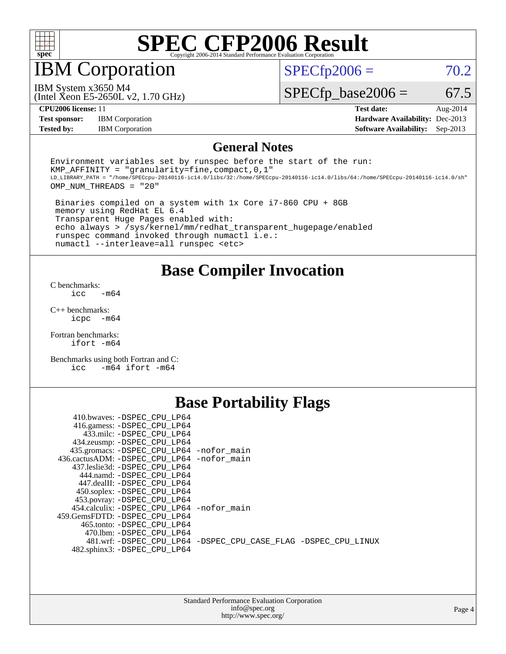

IBM Corporation

 $SPECTp2006 = 70.2$ 

(Intel Xeon E5-2650L v2, 1.70 GHz) IBM System x3650 M4

 $SPECTp\_base2006 = 67.5$ 

**[Test sponsor:](http://www.spec.org/auto/cpu2006/Docs/result-fields.html#Testsponsor)** IBM Corporation **[Hardware Availability:](http://www.spec.org/auto/cpu2006/Docs/result-fields.html#HardwareAvailability)** Dec-2013

**[CPU2006 license:](http://www.spec.org/auto/cpu2006/Docs/result-fields.html#CPU2006license)** 11 **[Test date:](http://www.spec.org/auto/cpu2006/Docs/result-fields.html#Testdate)** Aug-2014 **[Tested by:](http://www.spec.org/auto/cpu2006/Docs/result-fields.html#Testedby)** IBM Corporation **[Software Availability:](http://www.spec.org/auto/cpu2006/Docs/result-fields.html#SoftwareAvailability)** Sep-2013

#### **[General Notes](http://www.spec.org/auto/cpu2006/Docs/result-fields.html#GeneralNotes)**

Environment variables set by runspec before the start of the run: KMP AFFINITY = "granularity=fine, compact,  $0,1$ " LD\_LIBRARY\_PATH = "/home/SPECcpu-20140116-ic14.0/libs/32:/home/SPECcpu-20140116-ic14.0/libs/64:/home/SPECcpu-20140116-ic14.0/sh" OMP\_NUM\_THREADS = "20"

 Binaries compiled on a system with 1x Core i7-860 CPU + 8GB memory using RedHat EL 6.4 Transparent Huge Pages enabled with: echo always > /sys/kernel/mm/redhat\_transparent\_hugepage/enabled runspec command invoked through numactl i.e.: numactl --interleave=all runspec <etc>

#### **[Base Compiler Invocation](http://www.spec.org/auto/cpu2006/Docs/result-fields.html#BaseCompilerInvocation)**

[C benchmarks](http://www.spec.org/auto/cpu2006/Docs/result-fields.html#Cbenchmarks):  $\text{icc}$   $-\text{m64}$ 

[C++ benchmarks:](http://www.spec.org/auto/cpu2006/Docs/result-fields.html#CXXbenchmarks) [icpc -m64](http://www.spec.org/cpu2006/results/res2014q3/cpu2006-20140811-30862.flags.html#user_CXXbase_intel_icpc_64bit_bedb90c1146cab66620883ef4f41a67e)

[Fortran benchmarks](http://www.spec.org/auto/cpu2006/Docs/result-fields.html#Fortranbenchmarks): [ifort -m64](http://www.spec.org/cpu2006/results/res2014q3/cpu2006-20140811-30862.flags.html#user_FCbase_intel_ifort_64bit_ee9d0fb25645d0210d97eb0527dcc06e)

[Benchmarks using both Fortran and C](http://www.spec.org/auto/cpu2006/Docs/result-fields.html#BenchmarksusingbothFortranandC): [icc -m64](http://www.spec.org/cpu2006/results/res2014q3/cpu2006-20140811-30862.flags.html#user_CC_FCbase_intel_icc_64bit_0b7121f5ab7cfabee23d88897260401c) [ifort -m64](http://www.spec.org/cpu2006/results/res2014q3/cpu2006-20140811-30862.flags.html#user_CC_FCbase_intel_ifort_64bit_ee9d0fb25645d0210d97eb0527dcc06e)

### **[Base Portability Flags](http://www.spec.org/auto/cpu2006/Docs/result-fields.html#BasePortabilityFlags)**

| 410.bwaves: -DSPEC CPU LP64                 |                                                                |
|---------------------------------------------|----------------------------------------------------------------|
| 416.gamess: -DSPEC_CPU_LP64                 |                                                                |
| 433.milc: -DSPEC CPU LP64                   |                                                                |
| 434.zeusmp: - DSPEC_CPU_LP64                |                                                                |
| 435.gromacs: -DSPEC_CPU_LP64 -nofor_main    |                                                                |
| 436.cactusADM: -DSPEC CPU LP64 -nofor main  |                                                                |
| 437.leslie3d: -DSPEC CPU LP64               |                                                                |
| 444.namd: -DSPEC CPU LP64                   |                                                                |
| 447.dealII: -DSPEC_CPU LP64                 |                                                                |
| 450.soplex: -DSPEC_CPU_LP64                 |                                                                |
| 453.povray: -DSPEC_CPU_LP64                 |                                                                |
| 454.calculix: - DSPEC CPU LP64 - nofor main |                                                                |
| 459.GemsFDTD: -DSPEC CPU LP64               |                                                                |
| 465.tonto: -DSPEC CPU LP64                  |                                                                |
| 470.1bm: - DSPEC CPU LP64                   |                                                                |
|                                             | 481.wrf: -DSPEC CPU_LP64 -DSPEC_CPU_CASE_FLAG -DSPEC_CPU_LINUX |
| 482.sphinx3: -DSPEC CPU LP64                |                                                                |
|                                             |                                                                |

| <b>Standard Performance Evaluation Corporation</b> |
|----------------------------------------------------|
| info@spec.org                                      |
| http://www.spec.org/                               |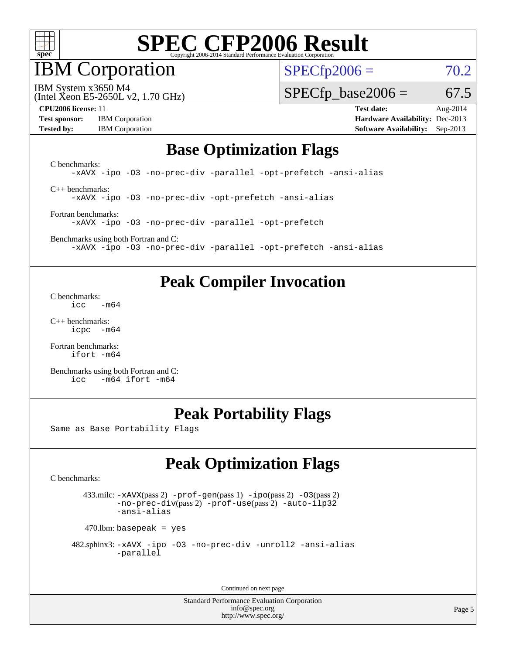

IBM Corporation

 $SPECfp2006 = 70.2$  $SPECfp2006 = 70.2$ 

(Intel Xeon E5-2650L v2, 1.70 GHz) IBM System x3650 M4

 $SPECTp\_base2006 = 67.5$ 

**[Test sponsor:](http://www.spec.org/auto/cpu2006/Docs/result-fields.html#Testsponsor)** IBM Corporation **[Hardware Availability:](http://www.spec.org/auto/cpu2006/Docs/result-fields.html#HardwareAvailability)** Dec-2013

**[CPU2006 license:](http://www.spec.org/auto/cpu2006/Docs/result-fields.html#CPU2006license)** 11 **[Test date:](http://www.spec.org/auto/cpu2006/Docs/result-fields.html#Testdate)** Aug-2014 **[Tested by:](http://www.spec.org/auto/cpu2006/Docs/result-fields.html#Testedby)** IBM Corporation **[Software Availability:](http://www.spec.org/auto/cpu2006/Docs/result-fields.html#SoftwareAvailability)** Sep-2013

#### **[Base Optimization Flags](http://www.spec.org/auto/cpu2006/Docs/result-fields.html#BaseOptimizationFlags)**

[C benchmarks](http://www.spec.org/auto/cpu2006/Docs/result-fields.html#Cbenchmarks): [-xAVX](http://www.spec.org/cpu2006/results/res2014q3/cpu2006-20140811-30862.flags.html#user_CCbase_f-xAVX) [-ipo](http://www.spec.org/cpu2006/results/res2014q3/cpu2006-20140811-30862.flags.html#user_CCbase_f-ipo) [-O3](http://www.spec.org/cpu2006/results/res2014q3/cpu2006-20140811-30862.flags.html#user_CCbase_f-O3) [-no-prec-div](http://www.spec.org/cpu2006/results/res2014q3/cpu2006-20140811-30862.flags.html#user_CCbase_f-no-prec-div) [-parallel](http://www.spec.org/cpu2006/results/res2014q3/cpu2006-20140811-30862.flags.html#user_CCbase_f-parallel) [-opt-prefetch](http://www.spec.org/cpu2006/results/res2014q3/cpu2006-20140811-30862.flags.html#user_CCbase_f-opt-prefetch) [-ansi-alias](http://www.spec.org/cpu2006/results/res2014q3/cpu2006-20140811-30862.flags.html#user_CCbase_f-ansi-alias) [C++ benchmarks:](http://www.spec.org/auto/cpu2006/Docs/result-fields.html#CXXbenchmarks)

[-xAVX](http://www.spec.org/cpu2006/results/res2014q3/cpu2006-20140811-30862.flags.html#user_CXXbase_f-xAVX) [-ipo](http://www.spec.org/cpu2006/results/res2014q3/cpu2006-20140811-30862.flags.html#user_CXXbase_f-ipo) [-O3](http://www.spec.org/cpu2006/results/res2014q3/cpu2006-20140811-30862.flags.html#user_CXXbase_f-O3) [-no-prec-div](http://www.spec.org/cpu2006/results/res2014q3/cpu2006-20140811-30862.flags.html#user_CXXbase_f-no-prec-div) [-opt-prefetch](http://www.spec.org/cpu2006/results/res2014q3/cpu2006-20140811-30862.flags.html#user_CXXbase_f-opt-prefetch) [-ansi-alias](http://www.spec.org/cpu2006/results/res2014q3/cpu2006-20140811-30862.flags.html#user_CXXbase_f-ansi-alias)

[Fortran benchmarks](http://www.spec.org/auto/cpu2006/Docs/result-fields.html#Fortranbenchmarks): [-xAVX](http://www.spec.org/cpu2006/results/res2014q3/cpu2006-20140811-30862.flags.html#user_FCbase_f-xAVX) [-ipo](http://www.spec.org/cpu2006/results/res2014q3/cpu2006-20140811-30862.flags.html#user_FCbase_f-ipo) [-O3](http://www.spec.org/cpu2006/results/res2014q3/cpu2006-20140811-30862.flags.html#user_FCbase_f-O3) [-no-prec-div](http://www.spec.org/cpu2006/results/res2014q3/cpu2006-20140811-30862.flags.html#user_FCbase_f-no-prec-div) [-parallel](http://www.spec.org/cpu2006/results/res2014q3/cpu2006-20140811-30862.flags.html#user_FCbase_f-parallel) [-opt-prefetch](http://www.spec.org/cpu2006/results/res2014q3/cpu2006-20140811-30862.flags.html#user_FCbase_f-opt-prefetch)

[Benchmarks using both Fortran and C](http://www.spec.org/auto/cpu2006/Docs/result-fields.html#BenchmarksusingbothFortranandC): [-xAVX](http://www.spec.org/cpu2006/results/res2014q3/cpu2006-20140811-30862.flags.html#user_CC_FCbase_f-xAVX) [-ipo](http://www.spec.org/cpu2006/results/res2014q3/cpu2006-20140811-30862.flags.html#user_CC_FCbase_f-ipo) [-O3](http://www.spec.org/cpu2006/results/res2014q3/cpu2006-20140811-30862.flags.html#user_CC_FCbase_f-O3) [-no-prec-div](http://www.spec.org/cpu2006/results/res2014q3/cpu2006-20140811-30862.flags.html#user_CC_FCbase_f-no-prec-div) [-parallel](http://www.spec.org/cpu2006/results/res2014q3/cpu2006-20140811-30862.flags.html#user_CC_FCbase_f-parallel) [-opt-prefetch](http://www.spec.org/cpu2006/results/res2014q3/cpu2006-20140811-30862.flags.html#user_CC_FCbase_f-opt-prefetch) [-ansi-alias](http://www.spec.org/cpu2006/results/res2014q3/cpu2006-20140811-30862.flags.html#user_CC_FCbase_f-ansi-alias)

### **[Peak Compiler Invocation](http://www.spec.org/auto/cpu2006/Docs/result-fields.html#PeakCompilerInvocation)**

[C benchmarks](http://www.spec.org/auto/cpu2006/Docs/result-fields.html#Cbenchmarks):  $\text{icc}$   $-\text{m64}$ 

[C++ benchmarks:](http://www.spec.org/auto/cpu2006/Docs/result-fields.html#CXXbenchmarks) [icpc -m64](http://www.spec.org/cpu2006/results/res2014q3/cpu2006-20140811-30862.flags.html#user_CXXpeak_intel_icpc_64bit_bedb90c1146cab66620883ef4f41a67e)

[Fortran benchmarks](http://www.spec.org/auto/cpu2006/Docs/result-fields.html#Fortranbenchmarks): [ifort -m64](http://www.spec.org/cpu2006/results/res2014q3/cpu2006-20140811-30862.flags.html#user_FCpeak_intel_ifort_64bit_ee9d0fb25645d0210d97eb0527dcc06e)

[Benchmarks using both Fortran and C](http://www.spec.org/auto/cpu2006/Docs/result-fields.html#BenchmarksusingbothFortranandC): [icc -m64](http://www.spec.org/cpu2006/results/res2014q3/cpu2006-20140811-30862.flags.html#user_CC_FCpeak_intel_icc_64bit_0b7121f5ab7cfabee23d88897260401c) [ifort -m64](http://www.spec.org/cpu2006/results/res2014q3/cpu2006-20140811-30862.flags.html#user_CC_FCpeak_intel_ifort_64bit_ee9d0fb25645d0210d97eb0527dcc06e)

### **[Peak Portability Flags](http://www.spec.org/auto/cpu2006/Docs/result-fields.html#PeakPortabilityFlags)**

Same as Base Portability Flags

### **[Peak Optimization Flags](http://www.spec.org/auto/cpu2006/Docs/result-fields.html#PeakOptimizationFlags)**

[C benchmarks](http://www.spec.org/auto/cpu2006/Docs/result-fields.html#Cbenchmarks):

 433.milc: [-xAVX](http://www.spec.org/cpu2006/results/res2014q3/cpu2006-20140811-30862.flags.html#user_peakPASS2_CFLAGSPASS2_LDFLAGS433_milc_f-xAVX)(pass 2) [-prof-gen](http://www.spec.org/cpu2006/results/res2014q3/cpu2006-20140811-30862.flags.html#user_peakPASS1_CFLAGSPASS1_LDFLAGS433_milc_prof_gen_e43856698f6ca7b7e442dfd80e94a8fc)(pass 1) [-ipo](http://www.spec.org/cpu2006/results/res2014q3/cpu2006-20140811-30862.flags.html#user_peakPASS2_CFLAGSPASS2_LDFLAGS433_milc_f-ipo)(pass 2) [-O3](http://www.spec.org/cpu2006/results/res2014q3/cpu2006-20140811-30862.flags.html#user_peakPASS2_CFLAGSPASS2_LDFLAGS433_milc_f-O3)(pass 2) [-no-prec-div](http://www.spec.org/cpu2006/results/res2014q3/cpu2006-20140811-30862.flags.html#user_peakPASS2_CFLAGSPASS2_LDFLAGS433_milc_f-no-prec-div)(pass 2) [-prof-use](http://www.spec.org/cpu2006/results/res2014q3/cpu2006-20140811-30862.flags.html#user_peakPASS2_CFLAGSPASS2_LDFLAGS433_milc_prof_use_bccf7792157ff70d64e32fe3e1250b55)(pass 2) [-auto-ilp32](http://www.spec.org/cpu2006/results/res2014q3/cpu2006-20140811-30862.flags.html#user_peakCOPTIMIZE433_milc_f-auto-ilp32) [-ansi-alias](http://www.spec.org/cpu2006/results/res2014q3/cpu2006-20140811-30862.flags.html#user_peakCOPTIMIZE433_milc_f-ansi-alias)

 $470$ .lbm: basepeak = yes

```
 482.sphinx3: -xAVX -ipo -O3 -no-prec-div -unroll2 -ansi-alias
         -parallel
```
Continued on next page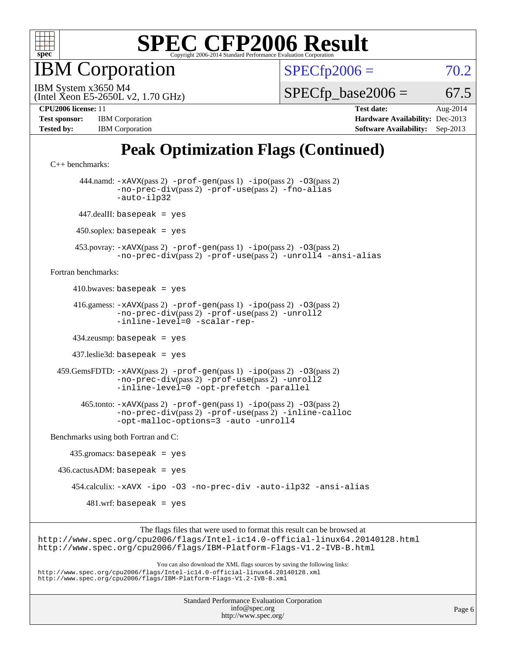

IBM Corporation

 $SPECfp2006 = 70.2$  $SPECfp2006 = 70.2$ 

(Intel Xeon E5-2650L v2, 1.70 GHz) IBM System x3650 M4

 $SPECTp\_base2006 = 67.5$ 

**[Test sponsor:](http://www.spec.org/auto/cpu2006/Docs/result-fields.html#Testsponsor)** IBM Corporation **[Hardware Availability:](http://www.spec.org/auto/cpu2006/Docs/result-fields.html#HardwareAvailability)** Dec-2013 **[Tested by:](http://www.spec.org/auto/cpu2006/Docs/result-fields.html#Testedby)** IBM Corporation **[Software Availability:](http://www.spec.org/auto/cpu2006/Docs/result-fields.html#SoftwareAvailability)** Sep-2013

**[CPU2006 license:](http://www.spec.org/auto/cpu2006/Docs/result-fields.html#CPU2006license)** 11 **[Test date:](http://www.spec.org/auto/cpu2006/Docs/result-fields.html#Testdate)** Aug-2014

## **[Peak Optimization Flags \(Continued\)](http://www.spec.org/auto/cpu2006/Docs/result-fields.html#PeakOptimizationFlags)**

```
C++ benchmarks: 
        444.namd: -xAVX(pass 2) -prof-gen(pass 1) -ipo(pass 2) -O3(pass 2)
                -no-prec-div(pass 2) -prof-use(pass 2) -fno-alias
                -auto-ilp32
       447.dealII: basepeak = yes
      450.soplex: basepeak = yes
       453.povray: -xAVX(pass 2) -prof-gen(pass 1) -ipo(pass 2) -O3(pass 2)
                -no-prec-div(pass 2) -prof-use(pass 2) -unroll4 -ansi-alias
Fortran benchmarks: 
     410.bwaves: basepeak = yes 416.gamess: -xAVX(pass 2) -prof-gen(pass 1) -ipo(pass 2) -O3(pass 2)
                -no-prec-div(pass 2) -prof-use(pass 2) -unroll2
                -inline-level=0 -scalar-rep-
      434.zeusmp: basepeak = yes
      437.leslie3d: basepeak = yes
  459.GemsFDTD: -xAVX(pass 2) -prof-gen(pass 1) -ipo(pass 2) -O3(pass 2)
                -no-prec-div(pass 2) -prof-use(pass 2) -unroll2
                -inline-level=0 -opt-prefetch -parallel
        465.tonto: -xAVX(pass 2) -prof-gen(pass 1) -ipo(pass 2) -O3(pass 2)
                -no-prec-div(pass 2) -prof-use(pass 2) -inline-calloc
                -opt-malloc-options=3-auto-unroll4
Benchmarks using both Fortran and C: 
     435.gromacs: basepeak = yes
 436.cactusADM: basepeak = yes 454.calculix: -xAVX -ipo -O3 -no-prec-div -auto-ilp32 -ansi-alias
        481.wrf: basepeak = yes
                      The flags files that were used to format this result can be browsed at
```
<http://www.spec.org/cpu2006/flags/Intel-ic14.0-official-linux64.20140128.html> <http://www.spec.org/cpu2006/flags/IBM-Platform-Flags-V1.2-IVB-B.html>

You can also download the XML flags sources by saving the following links: <http://www.spec.org/cpu2006/flags/Intel-ic14.0-official-linux64.20140128.xml> <http://www.spec.org/cpu2006/flags/IBM-Platform-Flags-V1.2-IVB-B.xml>